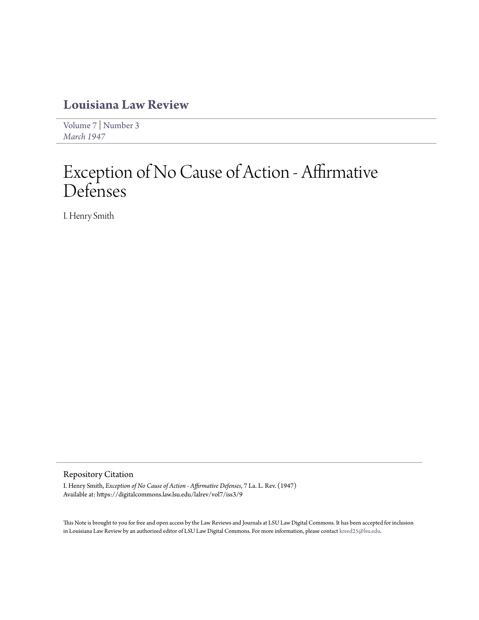## **[Louisiana Law Review](https://digitalcommons.law.lsu.edu/lalrev)**

[Volume 7](https://digitalcommons.law.lsu.edu/lalrev/vol7) | [Number 3](https://digitalcommons.law.lsu.edu/lalrev/vol7/iss3) *[March 1947](https://digitalcommons.law.lsu.edu/lalrev/vol7/iss3)*

## Exception of No Cause of Action - Affirmative Defenses

I. Henry Smith

## Repository Citation

I. Henry Smith, *Exception of No Cause of Action - Affirmative Defenses*, 7 La. L. Rev. (1947) Available at: https://digitalcommons.law.lsu.edu/lalrev/vol7/iss3/9

This Note is brought to you for free and open access by the Law Reviews and Journals at LSU Law Digital Commons. It has been accepted for inclusion in Louisiana Law Review by an authorized editor of LSU Law Digital Commons. For more information, please contact [kreed25@lsu.edu](mailto:kreed25@lsu.edu).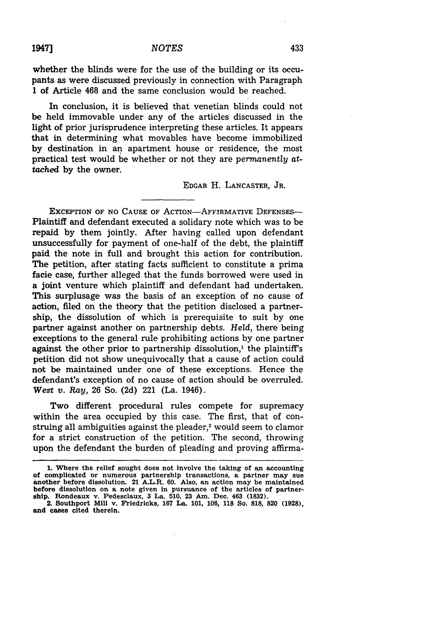whether the blinds were for the use of the building or its occupants as were discussed previously in connection with Paragraph 1 of Article 468 and the same conclusion would be reached.

In conclusion, it is believed that venetian blinds could not be held immovable under any of the articles discussed in the light of prior jurisprudence interpreting these articles. It appears that in determining what movables have become immobilized by destination in an apartment house or residence, the most practical test would be whether or not they are *permanently attached* **by** the owner.

## EDGAR H. LANCASTER, JR.

EXcEPTION OF **NO** CAUSE OF ACTION-AFFIRMATIVE DEFENSES-Plaintiff and defendant executed a solidary note which was to be repaid by them jointly. After having called upon defendant unsuccessfully for payment of one-half of the debt, the plaintiff paid the note in full and brought this action for contribution. The petition, after stating facts sufficient to constitute a prima facie case, further alleged that the funds borrowed were used in a joint venture which plaintiff and defendant had undertaken. This surplusage was the basis of an exception of no cause of action, filed on the theory that the petition disclosed a partnership, the dissolution of which is prerequisite to suit **by** one partner against another on partnership debts. *Held,* there being exceptions to the general rule prohibiting actions by one partner against the other prior to partnership dissolution,<sup>1</sup> the plaintiff's petition did not show unequivocally that a cause of action could not be maintained under one of these exceptions. Hence the defendant's exception of no cause of action should be overruled. *West v. Ray,* **26** So. (2d) 221 (La. 1946).

Two different procedural rules compete for supremacy within the area occupied by this case. The first, that of construing all ambiguities against the pleader,<sup>2</sup> would seem to clamor for a strict construction of the petition. The second, throwing upon the defendant the burden of pleading and proving affirma-

**<sup>1.</sup> Where the relief sought does not involve the taking of an accounting of complicated or numerous partnership transactions, a partner may sue another before dissolution. 21 A.L.R. 60. Also, an action may be maintained before dissolution on a note given in pursuance of the articles of partnership. Rondeaux** v. **Pedesclaux, 3 La. 510, 23 Am. Dec. 463 (1832).**

**<sup>2.</sup> Southport Mill v. Friedricks, 167 La. 101, 106, 118 So. 818, 820 (1928), and cases cited therein.**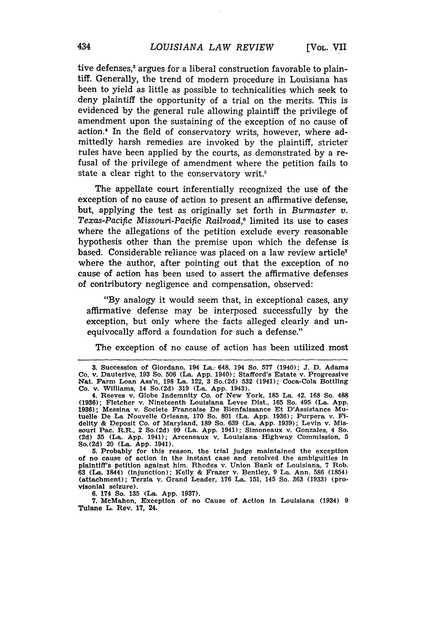tive defenses,<sup>3</sup> argues for a liberal construction favorable to plaintiff. Generally, the trend of modern procedure in Louisiana has been to yield as little as possible to technicalities which seek to deny plaintiff the opportunity of a trial on the merits. This is evidenced by the general rule allowing plaintiff the privilege of amendment upon the sustaining of the exception of no cause of action.<sup>4</sup> In the field of conservatory writs, however, where admittedly harsh remedies are invoked by the plaintiff, stricter rules have been applied by the courts, as demonstrated by a refusal of the privilege of amendment where the petition fails to state a clear right to the conservatory writ.<sup>5</sup>

The appellate court inferentially recognized the use of the exception of no cause of action to present an affirmative defense, but, applying the test as originally set forth in *Burmaster v.* Texas-Pacific Missouri-Pacific Railroad,<sup>6</sup> limited its use to cases where the allegations of the petition exclude every reasonable hypothesis other than the premise upon which the defense is based. Considerable reliance was placed on a law review article<sup>7</sup> where the author, after pointing out that the exception of no cause of action has been used to assert the affirmative defenses of contributory negligence and compensation, observed:

"By analogy it would seem that, in exceptional cases, any affirmative defense may be interposed successfully by the exception, but only where the facts alleged clearly and unequivocally afford a foundation for such a defense."

The exception of no cause of action has been utilized most

**5.** Probably for this reason, the trial judge maintained the exception of no cause of action in the instant case and resolved the ambiguities in plaintiff's petition against him. Rhodes v. Union Bank of Louisiana, **7** Rob. 63 (La. 1844) (injunction); Kelly & Frazer v. Bentley, 9 La. Ann. 586 **(1854)** (attachment); Terzia v. Grand Leader, 176 La. 151, 145 So. **363** (1933) (provisonial seizure).

6. 174 So. 135 (La. App. 1937).

7. McMahon, Exception of no Cause of Action in Louisiana (1934) 9 Tulane L. Rev. 17, 24.

**<sup>3.</sup>** Succession of Giordano, 194 La.- 648, 194 So. **577** (1940); **J.** D. Adams Co. v. Dauterive, **193** So. **506** (La. **App.** 1940); Stafford's Estate v. Progressive Nat. Farm Loan Ass'n, **198** La. 122, **3** So.(2d) **532** (1941); Coca-Cola Bottling Co. **v.** Williams, 14 So.(2d) **319** (La. **App.** 1943). 4. Reeves v. Globe Indemnity Co. of New York, **185** La. 42, **168** So. 488

**<sup>(1936);</sup>** Fletcher v. Nineteenth Louisiana Levee Dist., **165** So. 495 (La. **App. 1936);** Messina v. Societe Francaise De Bienfaissance Et D'Assistance Mu-tuelle De La Nouvelle Orleans, **170** So. **801** (La. **App. 1936);** Purpera v. Fidelity & Deposit Co. of Maryland, 189 So. 639 (La. App. 1939); Levin v. Missouri Pac. R.R., 2 So. (2d) 99 (La. App. 1941); Simoneaux v. Gonzales, 4 So. (2d) 35 (La. App. 1941); Arceneaux v. Louisiana Highway Commission, 5 So.(2d) 20 (La. **App.** 1941).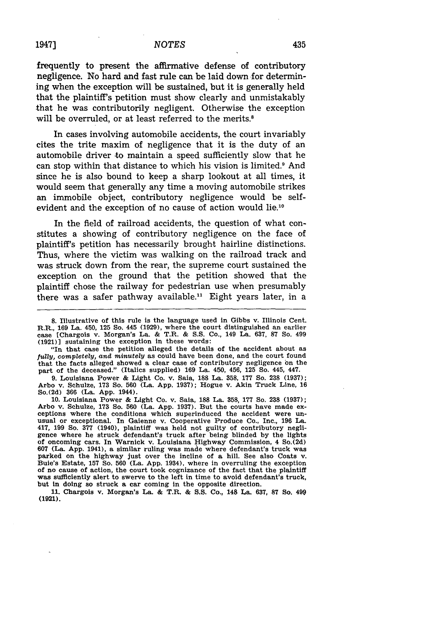frequently to present the affirmative defense of contributory negligence. No hard and fast rule can be laid down for determining when the exception will be sustained, but it is generally held that the plaintiff's petition must show clearly and unmistakably that he was contributorily negligent. Otherwise the exception will be overruled, or at least referred to the merits.<sup>8</sup>

In cases involving automobile accidents, the court invariably cites the trite maxim of negligence that it is the duty of an automobile driver to maintain a speed sufficiently slow that he can stop within that distance to which his vision is limited.<sup>9</sup> And since he is also bound to keep a sharp lookout at all times, it would seem that generally any time a moving automobile strikes an immobile object, contributory negligence would be selfevident and the exception of no cause of action would lie.10

In the field of railroad accidents, the question of what constitutes a showing of contributory negligence on the face of plaintiff's petition has necessarily brought hairline distinctions. Thus, where the victim was walking on the railroad track and was struck down from the rear, the supreme court sustained the exception on the ground that the petition showed that the plaintiff chose the railway for pedestrian use when presumably there was a safer pathway available." Eight years later, in a

"In that case the petition alleged the details of the accident about as *fully, completely, and minutely* as could have been done, and the court found that the facts alleged showed a clear case of contributory negligence on the part of the deceased." (Italics supplied) **169** La. 450, 456, **125 So.** 445, 447.

**9.** Louisiana Power **&** Light Co. v. Saia, **188** La. **358, 177** So. **238 (1937);** Arbo v. Schulze, **173** So. **560** (La. App. 1937); Hogue v. Akin Truck Line, **<sup>16</sup>** So.(2d) **366** (La. **App.** 1944).

**10.** Louisiana Power **&** Light Co. v. Saia, **188** La. **358, 177** So. **238 (1937);** Arbo v. Schulze, **173** So. **560** (La. **App. 1937).** But the courts have made exceptions where the conditions which superinduced the accident were unusual or exceptional. In Gaienne v. Cooperative Produce Co., Inc., **196 La.** 417, **199** So. **377** (1940), plaintiff was held not guilty of contributory negligence where he struck defendant's truck after being blinded **by** the lights of oncoming cars. In Warnick v. Louisiana Highway Commission, 4 So.(2d) **607** (La. **App.** 1941), a similar ruling was made where defendant's truck was parked on the highway just over the incline of a hill. See also Coats v. Buie's Estate, **157** So. **560** (La. **App.** 1934), where in overruling the exception of no cause of action, the court took cognizance of the fact that the plaintiff was sufficiently alert to swerve to the left in time to avoid defendant's truck, but in doing so struck a car coming in the opposite direction.

**11.** Chargois v. Morgan's La. **&** T.R. **& S.S.** Co., 148 La, 637, **87** So. 499 (1921).

**<sup>8.</sup>** Illustrative of this rule is the language used in Gibbs v. Illinois Cent. **R.R., 169** La. 450, **125** So. 445 **(1929),** where the court distinguished an earlier case [Chargois v. Morgan's La. **&** T.R. **& S.S.** Co., 149 La. **637, 87** So. 499  $(1921)$ ] sustaining the exception in these words: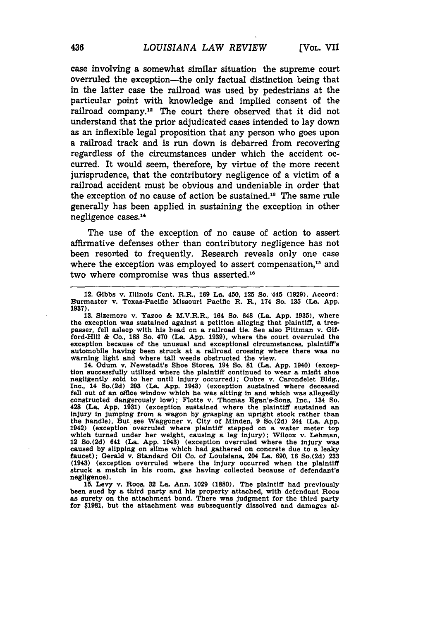case involving a somewhat similar situation the supreme court overruled the exception-the only factual distinction being that in the latter case the railroad was used **by** pedestrians at the particular point with knowledge and implied consent of the railroad company.12 The court there observed that it did not understand that the prior adjudicated cases intended to lay down as an inflexible legal proposition that any person who goes upon a railroad track and is run down is debarred from recovering regardless of the circumstances under which the accident occurred. It would seem, therefore, **by** virtue of the more recent jurisprudence, that the contributory negligence of a victim of a railroad accident must be obvious and undeniable in order that the exception of no cause of action be sustained.<sup>18</sup> The same rule generally has been applied in sustaining the exception in other negligence cases."'

The use of the exception of no cause of action to assert affirmative defenses other than contributory negligence has not been resorted to frequently. Research reveals only one case where the exception was employed to assert compensation,<sup>15</sup> and two where compromise was thus asserted.'

14. Odum v. Newstadt's Shoe Stores, 194 So. **81** (La. **App.** 1940) (exception successfully utilized where the plaintiff continued to wear a misfit shoe negligently sold to her until injury occurred); Oubre v. Carondelet **Bldg.,** Inc., 14 So.(2d) **293** (La. **App.** 1943) (exception sustained where deceased fell out of an office window which he was sitting in and which was allegedly constructed dangerously low); Flotte v. Thomas Egan's-Sons, Inc., 134 So. 428 (La. **App. 1931)** (exception sustained where the plaintiff sustained an injury in jumping from a wagon by grasping an upright stock rather than<br>the handle). But see Waggoner v. City of Minden, 9 So.(2d) 244 (La. App.<br>1942) (exception overruled where plaintiff stepped on a water meter top<br>whic 12 So.(2d) 641 (La. **App.** 1943) (exception overruled where the injury was caused **by** slipping on slime which had gathered on concrete due to a leaky faucet); Gerald v. Standard **Oil** Co. of Louisiana, 204 La. **690, 16** So.(2d) **233** (1943) (exception overruled where the injury occurred when the plaintiff struck a match in his room, gas having collected because of defendant's negligence).

**15.** Levy v. Roos, **32** La. Ann. **1029 (1880).** The plaintiff had previously been sued **by** a third party and his property attached, with defendant Roos as surety on the attachment bond. There was judgment for the third party for **\$1981,** but the attachment was subsequently dissolved and damages **al-**

<sup>12.</sup> Gibbs v. Illinois Cent. R.R., **169 La.** 450, **125** So. 445 **(1929).** Accord: Burmaster v. Texas-Pacific Missouri Pacific R. R., 174 So. **135** (La. **App. 1937).**

**<sup>13.</sup>** Sizemore v. Ya.zoo **&** M.V.R.R., 164 So. 648 (La. **App. 1935),** where the exception was sustained against a petition alleging that plaintiff, a trespasser, fell asleep with his bead on a railroad tie. See also Pittman v. Gifford-Hill **&** Co., **188** So. 470 (La. **App. 1939),** where the court overruled the exception because of the unusual and exceptional circumstances, plaintiff's automobile having been struck at a railroad crossing where there was no warning light and where tall weeds obstructed the view.